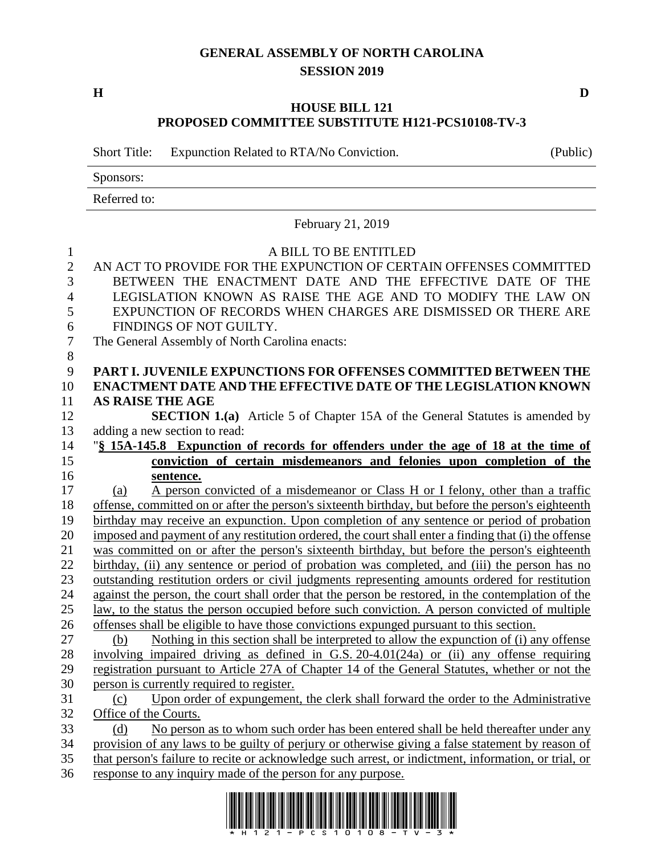## **GENERAL ASSEMBLY OF NORTH CAROLINA SESSION 2019**

**H D**

## **HOUSE BILL 121 PROPOSED COMMITTEE SUBSTITUTE H121-PCS10108-TV-3**

Short Title: Expunction Related to RTA/No Conviction. (Public)

Sponsors:

Referred to:

February 21, 2019

| $\mathbf{1}$        | A BILL TO BE ENTITLED                                                                                                          |  |  |  |
|---------------------|--------------------------------------------------------------------------------------------------------------------------------|--|--|--|
| $\overline{2}$<br>3 | AN ACT TO PROVIDE FOR THE EXPUNCTION OF CERTAIN OFFENSES COMMITTED<br>BETWEEN THE ENACTMENT DATE AND THE EFFECTIVE DATE OF THE |  |  |  |
| $\overline{4}$      |                                                                                                                                |  |  |  |
| 5                   | LEGISLATION KNOWN AS RAISE THE AGE AND TO MODIFY THE LAW ON                                                                    |  |  |  |
| 6                   | EXPUNCTION OF RECORDS WHEN CHARGES ARE DISMISSED OR THERE ARE<br>FINDINGS OF NOT GUILTY.                                       |  |  |  |
| $\boldsymbol{7}$    | The General Assembly of North Carolina enacts:                                                                                 |  |  |  |
| $8\,$               |                                                                                                                                |  |  |  |
| 9                   | PART I. JUVENILE EXPUNCTIONS FOR OFFENSES COMMITTED BETWEEN THE                                                                |  |  |  |
| 10                  | <b>ENACTMENT DATE AND THE EFFECTIVE DATE OF THE LEGISLATION KNOWN</b>                                                          |  |  |  |
| 11                  | <b>AS RAISE THE AGE</b>                                                                                                        |  |  |  |
| 12                  | <b>SECTION 1.(a)</b> Article 5 of Chapter 15A of the General Statutes is amended by                                            |  |  |  |
| 13                  | adding a new section to read:                                                                                                  |  |  |  |
| 14                  | "\\$ 15A-145.8 Expunction of records for offenders under the age of 18 at the time of                                          |  |  |  |
| 15                  | conviction of certain misdemeanors and felonies upon completion of the                                                         |  |  |  |
| 16                  | sentence.                                                                                                                      |  |  |  |
| 17                  | A person convicted of a misdemeanor or Class H or I felony, other than a traffic<br>(a)                                        |  |  |  |
| 18                  | offense, committed on or after the person's sixteenth birthday, but before the person's eighteenth                             |  |  |  |
| 19                  | birthday may receive an expunction. Upon completion of any sentence or period of probation                                     |  |  |  |
| 20                  | imposed and payment of any restitution ordered, the court shall enter a finding that (i) the offense                           |  |  |  |
| 21                  | was committed on or after the person's sixteenth birthday, but before the person's eighteenth                                  |  |  |  |
| 22                  | birthday, (ii) any sentence or period of probation was completed, and (iii) the person has no                                  |  |  |  |
| 23                  | outstanding restitution orders or civil judgments representing amounts ordered for restitution                                 |  |  |  |
| 24                  | against the person, the court shall order that the person be restored, in the contemplation of the                             |  |  |  |
| 25                  | law, to the status the person occupied before such conviction. A person convicted of multiple                                  |  |  |  |
| 26                  | offenses shall be eligible to have those convictions expunged pursuant to this section.                                        |  |  |  |
| 27                  | Nothing in this section shall be interpreted to allow the expunction of (i) any offense<br>(b)                                 |  |  |  |
| 28                  | involving impaired driving as defined in G.S. $20-4.01(24a)$ or (ii) any offense requiring                                     |  |  |  |
| 29                  | registration pursuant to Article 27A of Chapter 14 of the General Statutes, whether or not the                                 |  |  |  |
| 30                  | person is currently required to register.                                                                                      |  |  |  |
| 31                  | Upon order of expungement, the clerk shall forward the order to the Administrative<br>(c)                                      |  |  |  |
| 32                  | Office of the Courts.                                                                                                          |  |  |  |
| 33                  | No person as to whom such order has been entered shall be held thereafter under any<br>(d)                                     |  |  |  |
| 34                  | provision of any laws to be guilty of perjury or otherwise giving a false statement by reason of                               |  |  |  |
| 35<br>36            | that person's failure to recite or acknowledge such arrest, or indictment, information, or trial, or                           |  |  |  |
|                     | response to any inquiry made of the person for any purpose.                                                                    |  |  |  |

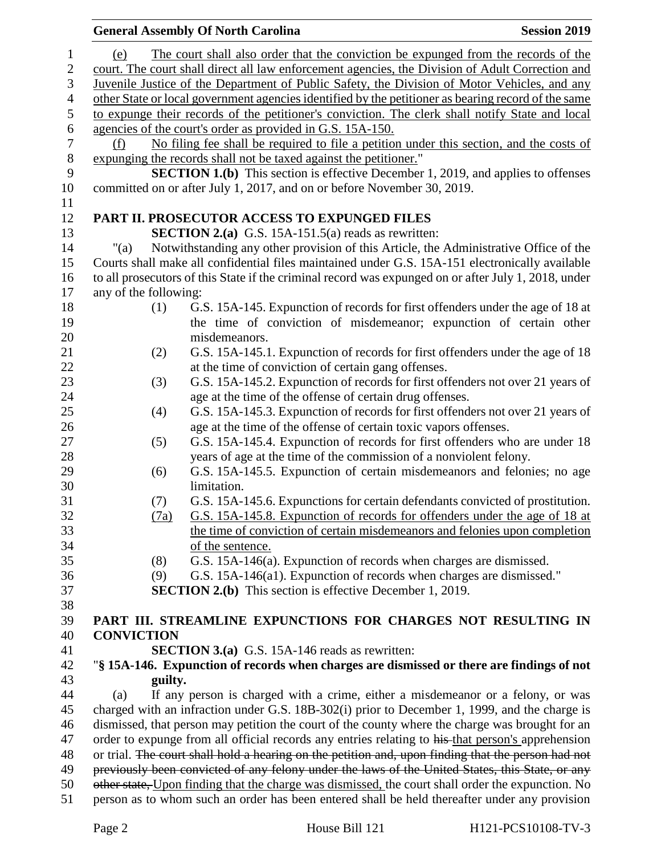|                |                                                                                                                                                                                                       | <b>General Assembly Of North Carolina</b>                                                                                                                                                          | <b>Session 2019</b> |  |  |
|----------------|-------------------------------------------------------------------------------------------------------------------------------------------------------------------------------------------------------|----------------------------------------------------------------------------------------------------------------------------------------------------------------------------------------------------|---------------------|--|--|
| 1              | (e)                                                                                                                                                                                                   | The court shall also order that the conviction be expunged from the records of the                                                                                                                 |                     |  |  |
| $\mathbf{2}$   | court. The court shall direct all law enforcement agencies, the Division of Adult Correction and                                                                                                      |                                                                                                                                                                                                    |                     |  |  |
| 3              | Juvenile Justice of the Department of Public Safety, the Division of Motor Vehicles, and any                                                                                                          |                                                                                                                                                                                                    |                     |  |  |
| $\overline{4}$ | other State or local government agencies identified by the petitioner as bearing record of the same                                                                                                   |                                                                                                                                                                                                    |                     |  |  |
| $\mathfrak s$  | to expunge their records of the petitioner's conviction. The clerk shall notify State and local                                                                                                       |                                                                                                                                                                                                    |                     |  |  |
| 6              | agencies of the court's order as provided in G.S. 15A-150.                                                                                                                                            |                                                                                                                                                                                                    |                     |  |  |
| 7              | No filing fee shall be required to file a petition under this section, and the costs of<br>(f)                                                                                                        |                                                                                                                                                                                                    |                     |  |  |
| $\,8\,$        | expunging the records shall not be taxed against the petitioner."                                                                                                                                     |                                                                                                                                                                                                    |                     |  |  |
| 9              | <b>SECTION 1.(b)</b> This section is effective December 1, 2019, and applies to offenses                                                                                                              |                                                                                                                                                                                                    |                     |  |  |
| 10             | committed on or after July 1, 2017, and on or before November 30, 2019.                                                                                                                               |                                                                                                                                                                                                    |                     |  |  |
| 11             |                                                                                                                                                                                                       |                                                                                                                                                                                                    |                     |  |  |
| 12             |                                                                                                                                                                                                       | PART II. PROSECUTOR ACCESS TO EXPUNGED FILES                                                                                                                                                       |                     |  |  |
| 13             |                                                                                                                                                                                                       | <b>SECTION 2.(a)</b> G.S. 15A-151.5(a) reads as rewritten:                                                                                                                                         |                     |  |  |
| 14             | "(a)                                                                                                                                                                                                  | Notwithstanding any other provision of this Article, the Administrative Office of the                                                                                                              |                     |  |  |
| 15             | Courts shall make all confidential files maintained under G.S. 15A-151 electronically available                                                                                                       |                                                                                                                                                                                                    |                     |  |  |
| 16             |                                                                                                                                                                                                       | to all prosecutors of this State if the criminal record was expunged on or after July 1, 2018, under                                                                                               |                     |  |  |
| 17             | any of the following:                                                                                                                                                                                 |                                                                                                                                                                                                    |                     |  |  |
| 18             | (1)                                                                                                                                                                                                   | G.S. 15A-145. Expunction of records for first offenders under the age of 18 at                                                                                                                     |                     |  |  |
| 19             |                                                                                                                                                                                                       | the time of conviction of misdemeanor; expunction of certain other                                                                                                                                 |                     |  |  |
| 20             |                                                                                                                                                                                                       | misdemeanors.                                                                                                                                                                                      |                     |  |  |
| 21             | (2)                                                                                                                                                                                                   | G.S. 15A-145.1. Expunction of records for first offenders under the age of 18                                                                                                                      |                     |  |  |
| 22             |                                                                                                                                                                                                       | at the time of conviction of certain gang offenses.                                                                                                                                                |                     |  |  |
| 23             | (3)                                                                                                                                                                                                   | G.S. 15A-145.2. Expunction of records for first offenders not over 21 years of                                                                                                                     |                     |  |  |
| 24             |                                                                                                                                                                                                       | age at the time of the offense of certain drug offenses.                                                                                                                                           |                     |  |  |
| 25             | (4)                                                                                                                                                                                                   | G.S. 15A-145.3. Expunction of records for first offenders not over 21 years of                                                                                                                     |                     |  |  |
| 26             |                                                                                                                                                                                                       | age at the time of the offense of certain toxic vapors offenses.                                                                                                                                   |                     |  |  |
| 27             | (5)                                                                                                                                                                                                   | G.S. 15A-145.4. Expunction of records for first offenders who are under 18                                                                                                                         |                     |  |  |
| 28             |                                                                                                                                                                                                       | years of age at the time of the commission of a nonviolent felony.                                                                                                                                 |                     |  |  |
| 29             | (6)                                                                                                                                                                                                   | G.S. 15A-145.5. Expunction of certain misdemeanors and felonies; no age                                                                                                                            |                     |  |  |
| 30             |                                                                                                                                                                                                       | limitation.                                                                                                                                                                                        |                     |  |  |
| 31             | (7)                                                                                                                                                                                                   | G.S. 15A-145.6. Expunctions for certain defendants convicted of prostitution.                                                                                                                      |                     |  |  |
| 32             | (7a)                                                                                                                                                                                                  | G.S. 15A-145.8. Expunction of records for offenders under the age of 18 at                                                                                                                         |                     |  |  |
| 33             |                                                                                                                                                                                                       | the time of conviction of certain misdemeanors and felonies upon completion                                                                                                                        |                     |  |  |
| 34             |                                                                                                                                                                                                       | of the sentence.                                                                                                                                                                                   |                     |  |  |
| 35             | (8)                                                                                                                                                                                                   | G.S. 15A-146(a). Expunction of records when charges are dismissed.                                                                                                                                 |                     |  |  |
| 36             | (9)                                                                                                                                                                                                   | G.S. 15A-146(a1). Expunction of records when charges are dismissed."                                                                                                                               |                     |  |  |
| 37             |                                                                                                                                                                                                       | <b>SECTION 2.(b)</b> This section is effective December 1, 2019.                                                                                                                                   |                     |  |  |
| 38             |                                                                                                                                                                                                       |                                                                                                                                                                                                    |                     |  |  |
| 39             |                                                                                                                                                                                                       | PART III. STREAMLINE EXPUNCTIONS FOR CHARGES NOT RESULTING IN                                                                                                                                      |                     |  |  |
| 40             | <b>CONVICTION</b>                                                                                                                                                                                     |                                                                                                                                                                                                    |                     |  |  |
| 41             |                                                                                                                                                                                                       | <b>SECTION 3.(a)</b> G.S. 15A-146 reads as rewritten:                                                                                                                                              |                     |  |  |
| 42             | "§ 15A-146. Expunction of records when charges are dismissed or there are findings of not                                                                                                             |                                                                                                                                                                                                    |                     |  |  |
| 43             | guilty.                                                                                                                                                                                               |                                                                                                                                                                                                    |                     |  |  |
| 44             | If any person is charged with a crime, either a misdemeanor or a felony, or was<br>(a)                                                                                                                |                                                                                                                                                                                                    |                     |  |  |
| 45             | charged with an infraction under G.S. 18B-302(i) prior to December 1, 1999, and the charge is                                                                                                         |                                                                                                                                                                                                    |                     |  |  |
| 46             | dismissed, that person may petition the court of the county where the charge was brought for an                                                                                                       |                                                                                                                                                                                                    |                     |  |  |
| 47             | order to expunge from all official records any entries relating to his that person's apprehension                                                                                                     |                                                                                                                                                                                                    |                     |  |  |
| 48             | or trial. The court shall hold a hearing on the petition and, upon finding that the person had not<br>previously been convicted of any felony under the laws of the United States, this State, or any |                                                                                                                                                                                                    |                     |  |  |
| 49<br>50       |                                                                                                                                                                                                       |                                                                                                                                                                                                    |                     |  |  |
| 51             |                                                                                                                                                                                                       | other state, Upon finding that the charge was dismissed, the court shall order the expunction. No<br>person as to whom such an order has been entered shall be held thereafter under any provision |                     |  |  |
|                |                                                                                                                                                                                                       |                                                                                                                                                                                                    |                     |  |  |